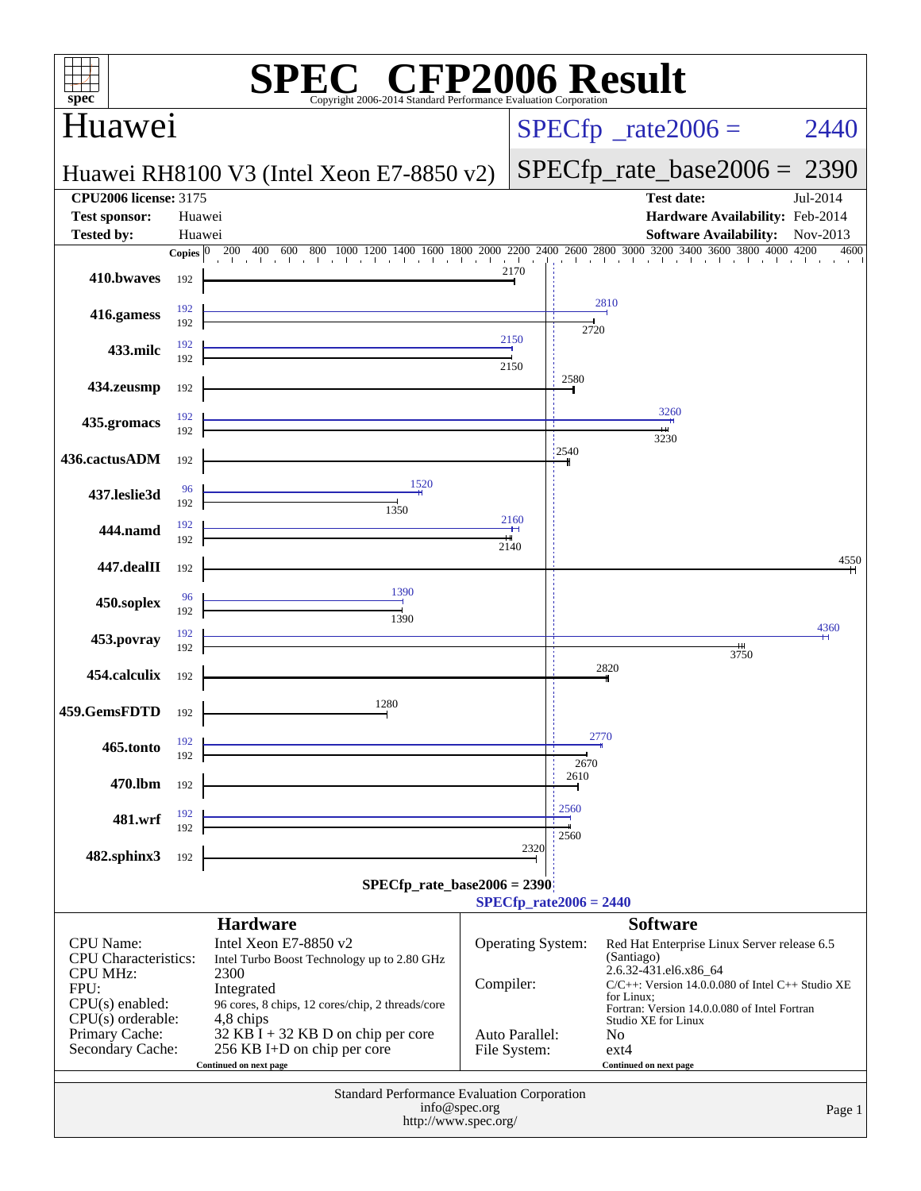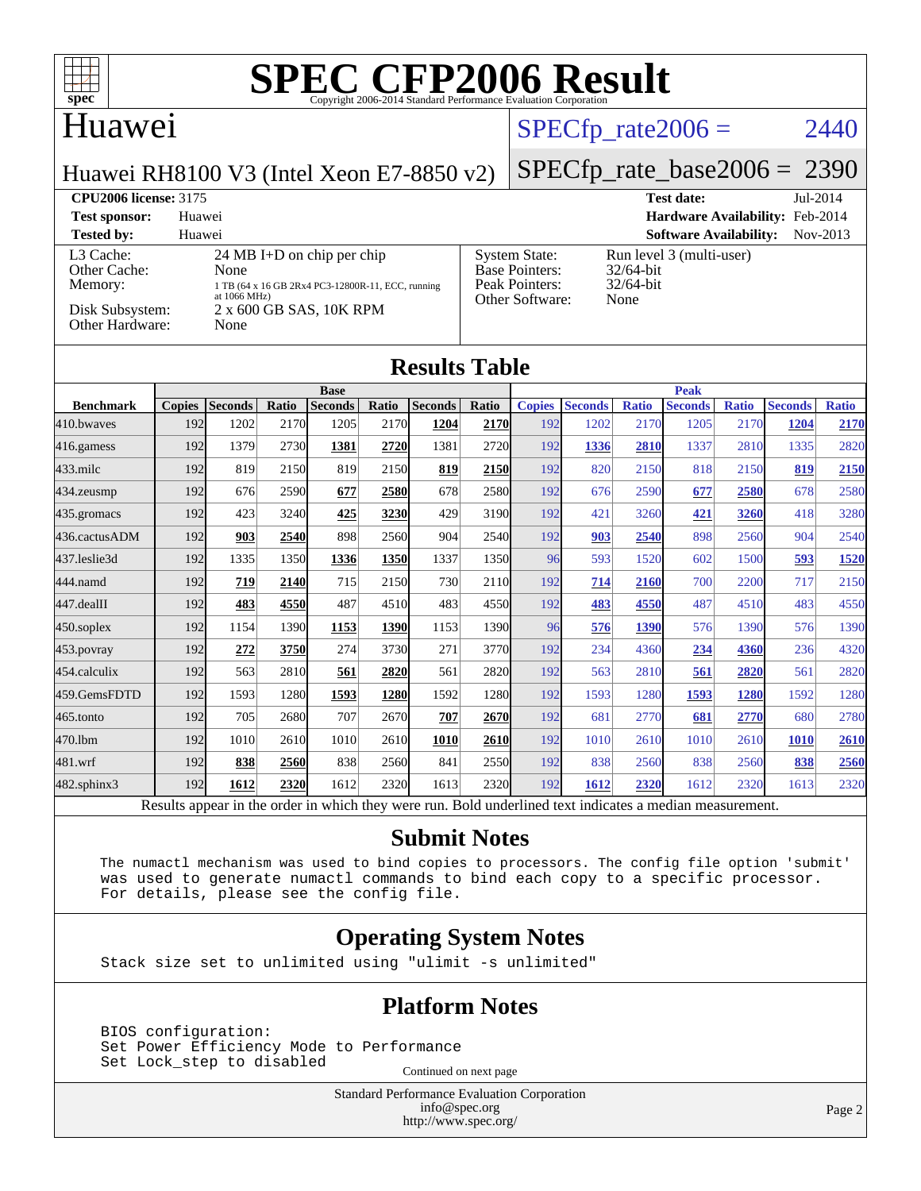

### Huawei

[Other Cache:](http://www.spec.org/auto/cpu2006/Docs/result-fields.html#OtherCache)

### $SPECTp\_rate2006 = 2440$

#### Huawei RH8100 V3 (Intel Xeon E7-8850 v2)

[L3 Cache:](http://www.spec.org/auto/cpu2006/Docs/result-fields.html#L3Cache) 24 MB I+D on chip per chip<br>Other Cache: None

[Memory:](http://www.spec.org/auto/cpu2006/Docs/result-fields.html#Memory) 1 TB (64 x 16 GB 2Rx4 PC3-12800R-11, ECC, running at 1066 MHz) [Disk Subsystem:](http://www.spec.org/auto/cpu2006/Docs/result-fields.html#DiskSubsystem) 2 x 600 GB SAS, 10K RPM

# [SPECfp\\_rate\\_base2006 =](http://www.spec.org/auto/cpu2006/Docs/result-fields.html#SPECfpratebase2006) 2390

| <b>CPU2006 license: 3175</b> |  |
|------------------------------|--|
|                              |  |

[Other Hardware:](http://www.spec.org/auto/cpu2006/Docs/result-fields.html#OtherHardware) None

**[CPU2006 license:](http://www.spec.org/auto/cpu2006/Docs/result-fields.html#CPU2006license)** 3175 **[Test date:](http://www.spec.org/auto/cpu2006/Docs/result-fields.html#Testdate)** Jul-2014 **[Test sponsor:](http://www.spec.org/auto/cpu2006/Docs/result-fields.html#Testsponsor)** Huawei **[Hardware Availability:](http://www.spec.org/auto/cpu2006/Docs/result-fields.html#HardwareAvailability)** Feb-2014 **[Tested by:](http://www.spec.org/auto/cpu2006/Docs/result-fields.html#Testedby)** Huawei **[Software Availability:](http://www.spec.org/auto/cpu2006/Docs/result-fields.html#SoftwareAvailability)** Nov-2013 [System State:](http://www.spec.org/auto/cpu2006/Docs/result-fields.html#SystemState) Run level 3 (multi-user)<br>Base Pointers: 32/64-bit

#### **[Results Table](http://www.spec.org/auto/cpu2006/Docs/result-fields.html#ResultsTable)**

[Base Pointers:](http://www.spec.org/auto/cpu2006/Docs/result-fields.html#BasePointers)

[Peak Pointers:](http://www.spec.org/auto/cpu2006/Docs/result-fields.html#PeakPointers) 32/64-bit [Other Software:](http://www.spec.org/auto/cpu2006/Docs/result-fields.html#OtherSoftware) None

|                      | <b>Base</b>   |                |              |                | <b>Peak</b> |                |                          |                     |                |              |                |              |                |              |
|----------------------|---------------|----------------|--------------|----------------|-------------|----------------|--------------------------|---------------------|----------------|--------------|----------------|--------------|----------------|--------------|
| <b>Benchmark</b>     | <b>Copies</b> | <b>Seconds</b> | Ratio        | <b>Seconds</b> | Ratio       | <b>Seconds</b> | <b>Ratio</b>             | <b>Copies</b>       | <b>Seconds</b> | <b>Ratio</b> | <b>Seconds</b> | <b>Ratio</b> | <b>Seconds</b> | <b>Ratio</b> |
| 410.bwayes           | 192           | 1202           | 2170         | 1205           | 2170        | 1204           | 2170                     | 192                 | 1202           | 2170         | 1205           | 2170         | 1204           | 2170         |
| $416$ .gamess        | 192           | 1379           | 2730         | 1381           | 2720        | 1381           | 2720                     | 192                 | 1336           | 2810         | 1337           | 2810         | 1335           | 2820         |
| $433$ .milc          | 192           | 819            | 2150         | 819            | 2150        | 819            | 2150                     | 192                 | 820            | 2150         | 818            | 2150         | 819            | 2150         |
| $434$ . zeusmp       | 192           | 676            | 2590         | 677            | 2580        | 678            | 2580                     | 192                 | 676            | 2590         | 677            | 2580         | 678            | 2580         |
| 435.gromacs          | 192           | 423            | 3240         | 425            | 3230        | 429            | 3190                     | 192                 | 421            | 3260         | 421            | 3260         | 418            | 3280         |
| 436.cactusADM        | 192           | 903            | 2540         | 898            | 2560        | 904            | 2540                     | 192                 | 903            | 2540         | 898            | 2560         | 904            | 2540         |
| 437.leslie3d         | 192           | 1335           | 1350         | 1336           | 1350        | 1337           | 1350                     | 96                  | 593            | 1520         | 602            | 1500         | 593            | 1520         |
| 444.namd             | 192           | 719            | 2140         | 715            | 2150        | 730            | 2110                     | 192                 | 714            | 2160         | 700            | 2200         | 717            | 2150         |
| $ 447.\text{dealII}$ | 192           | 483            | 4550         | 487            | 4510        | 483            | 4550                     | 192                 | 483            | 4550         | 487            | 4510         | 483            | 4550         |
| $450$ .soplex        | 192           | 1154           | 1390         | 1153           | 1390        | 1153           | 1390                     | 96                  | 576            | 1390         | 576            | 1390         | 576            | 1390         |
| $453$ .povray        | 192           | 272            | 3750         | 274            | 3730        | 271            | 3770                     | 192                 | 234            | 4360         | 234            | 4360         | 236            | 4320         |
| 454.calculix         | 192           | 563            | 2810         | 561            | 2820        | 561            | 2820                     | 192                 | 563            | 2810         | 561            | 2820         | 561            | 2820         |
| 459.GemsFDTD         | 192           | 1593           | 1280         | 1593           | 1280        | 1592           | 1280                     | 192                 | 1593           | 1280         | 1593           | 1280         | 1592           | 1280         |
| 465.tonto            | 192           | 705            | 2680         | 707            | 2670        | 707            | 2670                     | 192                 | 681            | 2770         | 681            | 2770         | 680            | 2780         |
| 470.1bm              | 192           | 1010           | 2610         | 1010           | 2610        | 1010           | 2610                     | 192                 | 1010           | 2610         | 1010           | 2610         | <b>1010</b>    | 2610         |
| 481.wrf              | 192           | 838            | 2560         | 838            | 2560        | 841            | 2550                     | 192                 | 838            | 2560         | 838            | 2560         | 838            | 2560         |
| 482.sphinx3          | 192           | 1612           | 2320         | 1612           | 2320        | 1613           | 2320                     | 192                 | 1612           | 2320         | 1612           | 2320         | 1613           | 2320         |
| D.                   |               | t <b>11.</b>   | $\mathbf{J}$ | 1.3.1.41       |             |                | $\mathbf{D}$ $\cdot$ 1.1 | $\mathbf{H}$<br>1.1 | $\mathbf{A}$   |              |                |              |                |              |

Results appear in the [order in which they were run.](http://www.spec.org/auto/cpu2006/Docs/result-fields.html#RunOrder) Bold underlined text [indicates a median measurement.](http://www.spec.org/auto/cpu2006/Docs/result-fields.html#Median)

#### **[Submit Notes](http://www.spec.org/auto/cpu2006/Docs/result-fields.html#SubmitNotes)**

 The numactl mechanism was used to bind copies to processors. The config file option 'submit' was used to generate numactl commands to bind each copy to a specific processor. For details, please see the config file.

#### **[Operating System Notes](http://www.spec.org/auto/cpu2006/Docs/result-fields.html#OperatingSystemNotes)**

Stack size set to unlimited using "ulimit -s unlimited"

#### **[Platform Notes](http://www.spec.org/auto/cpu2006/Docs/result-fields.html#PlatformNotes)**

 BIOS configuration: Set Power Efficiency Mode to Performance Set Lock\_step to disabled

Continued on next page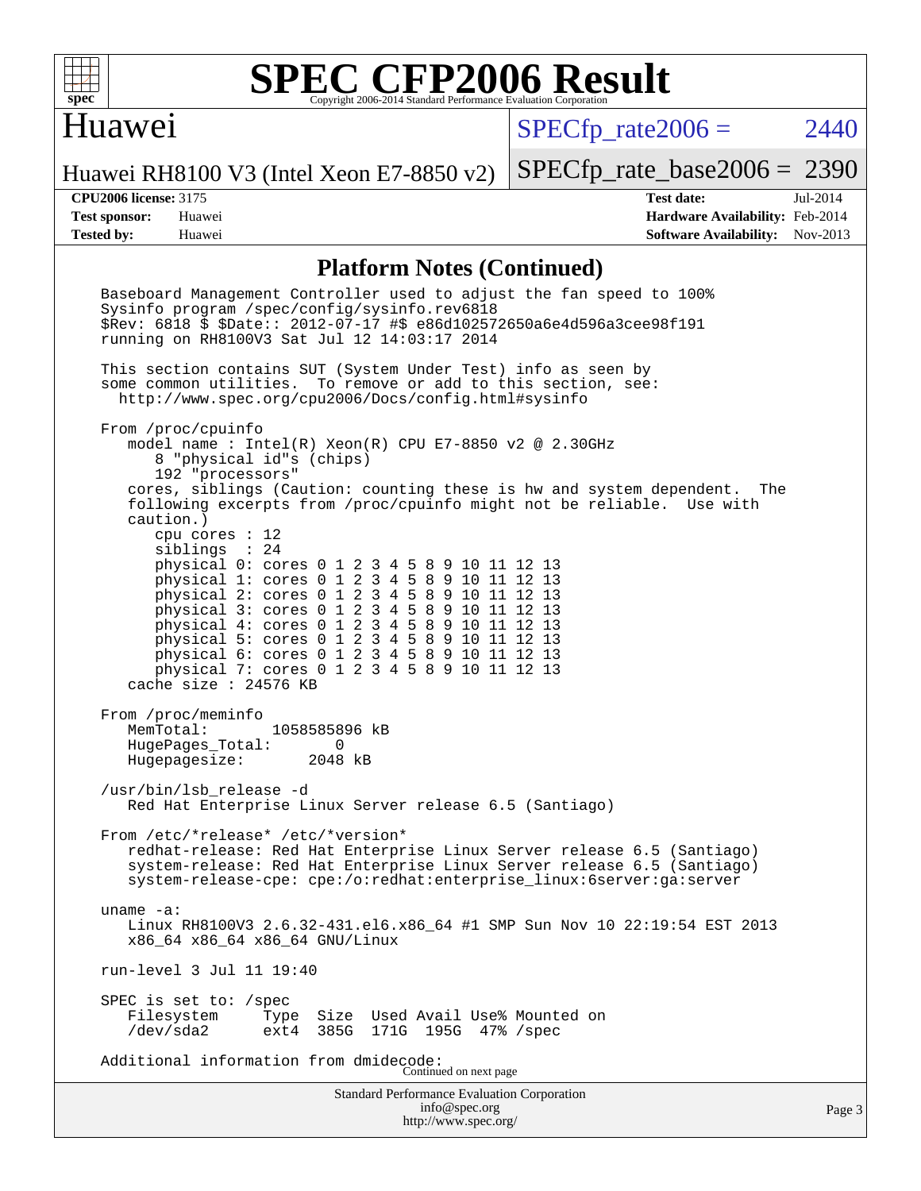

#### Huawei

 $SPECTp\_rate2006 = 2440$ 

[SPECfp\\_rate\\_base2006 =](http://www.spec.org/auto/cpu2006/Docs/result-fields.html#SPECfpratebase2006) 2390

Huawei RH8100 V3 (Intel Xeon E7-8850 v2)

**[Tested by:](http://www.spec.org/auto/cpu2006/Docs/result-fields.html#Testedby)** Huawei **[Software Availability:](http://www.spec.org/auto/cpu2006/Docs/result-fields.html#SoftwareAvailability)** Nov-2013

**[CPU2006 license:](http://www.spec.org/auto/cpu2006/Docs/result-fields.html#CPU2006license)** 3175 **[Test date:](http://www.spec.org/auto/cpu2006/Docs/result-fields.html#Testdate)** Jul-2014 **[Test sponsor:](http://www.spec.org/auto/cpu2006/Docs/result-fields.html#Testsponsor)** Huawei **[Hardware Availability:](http://www.spec.org/auto/cpu2006/Docs/result-fields.html#HardwareAvailability)** Feb-2014

#### **[Platform Notes \(Continued\)](http://www.spec.org/auto/cpu2006/Docs/result-fields.html#PlatformNotes)**

Standard Performance Evaluation Corporation [info@spec.org](mailto:info@spec.org) <http://www.spec.org/> Page 3 Baseboard Management Controller used to adjust the fan speed to 100% Sysinfo program /spec/config/sysinfo.rev6818 \$Rev: 6818 \$ \$Date:: 2012-07-17 #\$ e86d102572650a6e4d596a3cee98f191 running on RH8100V3 Sat Jul 12 14:03:17 2014 This section contains SUT (System Under Test) info as seen by some common utilities. To remove or add to this section, see: <http://www.spec.org/cpu2006/Docs/config.html#sysinfo> From /proc/cpuinfo model name : Intel(R) Xeon(R) CPU E7-8850 v2 @ 2.30GHz 8 "physical id"s (chips) 192 "processors" cores, siblings (Caution: counting these is hw and system dependent. The following excerpts from /proc/cpuinfo might not be reliable. Use with caution.) cpu cores : 12 siblings : 24 physical 0: cores 0 1 2 3 4 5 8 9 10 11 12 13 physical 1: cores 0 1 2 3 4 5 8 9 10 11 12 13 physical 2: cores 0 1 2 3 4 5 8 9 10 11 12 13 physical 3: cores 0 1 2 3 4 5 8 9 10 11 12 13 physical 4: cores 0 1 2 3 4 5 8 9 10 11 12 13 physical 5: cores 0 1 2 3 4 5 8 9 10 11 12 13 physical 6: cores 0 1 2 3 4 5 8 9 10 11 12 13 physical 7: cores 0 1 2 3 4 5 8 9 10 11 12 13 cache size : 24576 KB From /proc/meminfo MemTotal: 1058585896 kB HugePages\_Total: 0<br>Hugepagesize: 2048 kB Hugepagesize: /usr/bin/lsb\_release -d Red Hat Enterprise Linux Server release 6.5 (Santiago) From /etc/\*release\* /etc/\*version\* redhat-release: Red Hat Enterprise Linux Server release 6.5 (Santiago) system-release: Red Hat Enterprise Linux Server release 6.5 (Santiago) system-release-cpe: cpe:/o:redhat:enterprise\_linux:6server:ga:server uname -a: Linux RH8100V3 2.6.32-431.el6.x86\_64 #1 SMP Sun Nov 10 22:19:54 EST 2013 x86\_64 x86\_64 x86\_64 GNU/Linux run-level 3 Jul 11 19:40 SPEC is set to: /spec Filesystem Type Size Used Avail Use% Mounted on<br>
/dev/sda2 ext4 385G 171G 195G 47% /spec 171G 195G 47% /spec Additional information from dmidecode: Continued on next page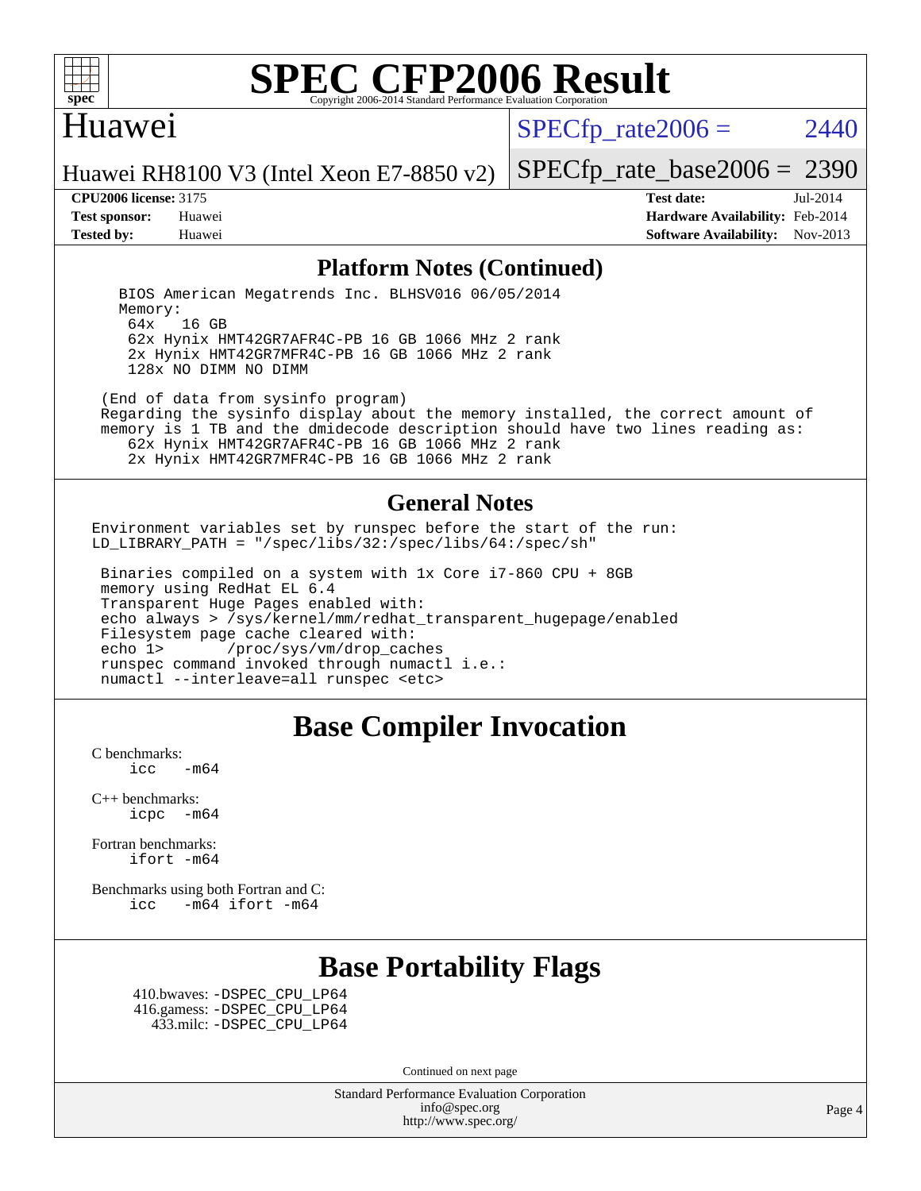

#### Huawei

 $SPECTp\_rate2006 = 2440$ 

Huawei RH8100 V3 (Intel Xeon E7-8850 v2)

**[Tested by:](http://www.spec.org/auto/cpu2006/Docs/result-fields.html#Testedby)** Huawei **[Software Availability:](http://www.spec.org/auto/cpu2006/Docs/result-fields.html#SoftwareAvailability)** Nov-2013

[SPECfp\\_rate\\_base2006 =](http://www.spec.org/auto/cpu2006/Docs/result-fields.html#SPECfpratebase2006) 2390 **[CPU2006 license:](http://www.spec.org/auto/cpu2006/Docs/result-fields.html#CPU2006license)** 3175 **[Test date:](http://www.spec.org/auto/cpu2006/Docs/result-fields.html#Testdate)** Jul-2014 **[Test sponsor:](http://www.spec.org/auto/cpu2006/Docs/result-fields.html#Testsponsor)** Huawei **[Hardware Availability:](http://www.spec.org/auto/cpu2006/Docs/result-fields.html#HardwareAvailability)** Feb-2014

#### **[Platform Notes \(Continued\)](http://www.spec.org/auto/cpu2006/Docs/result-fields.html#PlatformNotes)**

 BIOS American Megatrends Inc. BLHSV016 06/05/2014 Memory: 64x 16 GB 62x Hynix HMT42GR7AFR4C-PB 16 GB 1066 MHz 2 rank 2x Hynix HMT42GR7MFR4C-PB 16 GB 1066 MHz 2 rank 128x NO DIMM NO DIMM

 (End of data from sysinfo program) Regarding the sysinfo display about the memory installed, the correct amount of memory is 1 TB and the dmidecode description should have two lines reading as: 62x Hynix HMT42GR7AFR4C-PB 16 GB 1066 MHz 2 rank 2x Hynix HMT42GR7MFR4C-PB 16 GB 1066 MHz 2 rank

#### **[General Notes](http://www.spec.org/auto/cpu2006/Docs/result-fields.html#GeneralNotes)**

Environment variables set by runspec before the start of the run: LD\_LIBRARY\_PATH = "/spec/libs/32:/spec/libs/64:/spec/sh"

 Binaries compiled on a system with 1x Core i7-860 CPU + 8GB memory using RedHat EL 6.4 Transparent Huge Pages enabled with: echo always > /sys/kernel/mm/redhat\_transparent\_hugepage/enabled Filesystem page cache cleared with: echo 1> /proc/sys/vm/drop\_caches runspec command invoked through numactl i.e.: numactl --interleave=all runspec <etc>

#### **[Base Compiler Invocation](http://www.spec.org/auto/cpu2006/Docs/result-fields.html#BaseCompilerInvocation)**

[C benchmarks](http://www.spec.org/auto/cpu2006/Docs/result-fields.html#Cbenchmarks):  $\text{icc}$  -m64

[C++ benchmarks:](http://www.spec.org/auto/cpu2006/Docs/result-fields.html#CXXbenchmarks) [icpc -m64](http://www.spec.org/cpu2006/results/res2014q3/cpu2006-20140713-30385.flags.html#user_CXXbase_intel_icpc_64bit_bedb90c1146cab66620883ef4f41a67e)

[Fortran benchmarks](http://www.spec.org/auto/cpu2006/Docs/result-fields.html#Fortranbenchmarks): [ifort -m64](http://www.spec.org/cpu2006/results/res2014q3/cpu2006-20140713-30385.flags.html#user_FCbase_intel_ifort_64bit_ee9d0fb25645d0210d97eb0527dcc06e)

[Benchmarks using both Fortran and C](http://www.spec.org/auto/cpu2006/Docs/result-fields.html#BenchmarksusingbothFortranandC): [icc -m64](http://www.spec.org/cpu2006/results/res2014q3/cpu2006-20140713-30385.flags.html#user_CC_FCbase_intel_icc_64bit_0b7121f5ab7cfabee23d88897260401c) [ifort -m64](http://www.spec.org/cpu2006/results/res2014q3/cpu2006-20140713-30385.flags.html#user_CC_FCbase_intel_ifort_64bit_ee9d0fb25645d0210d97eb0527dcc06e)

### **[Base Portability Flags](http://www.spec.org/auto/cpu2006/Docs/result-fields.html#BasePortabilityFlags)**

 410.bwaves: [-DSPEC\\_CPU\\_LP64](http://www.spec.org/cpu2006/results/res2014q3/cpu2006-20140713-30385.flags.html#suite_basePORTABILITY410_bwaves_DSPEC_CPU_LP64) 416.gamess: [-DSPEC\\_CPU\\_LP64](http://www.spec.org/cpu2006/results/res2014q3/cpu2006-20140713-30385.flags.html#suite_basePORTABILITY416_gamess_DSPEC_CPU_LP64) 433.milc: [-DSPEC\\_CPU\\_LP64](http://www.spec.org/cpu2006/results/res2014q3/cpu2006-20140713-30385.flags.html#suite_basePORTABILITY433_milc_DSPEC_CPU_LP64)

Continued on next page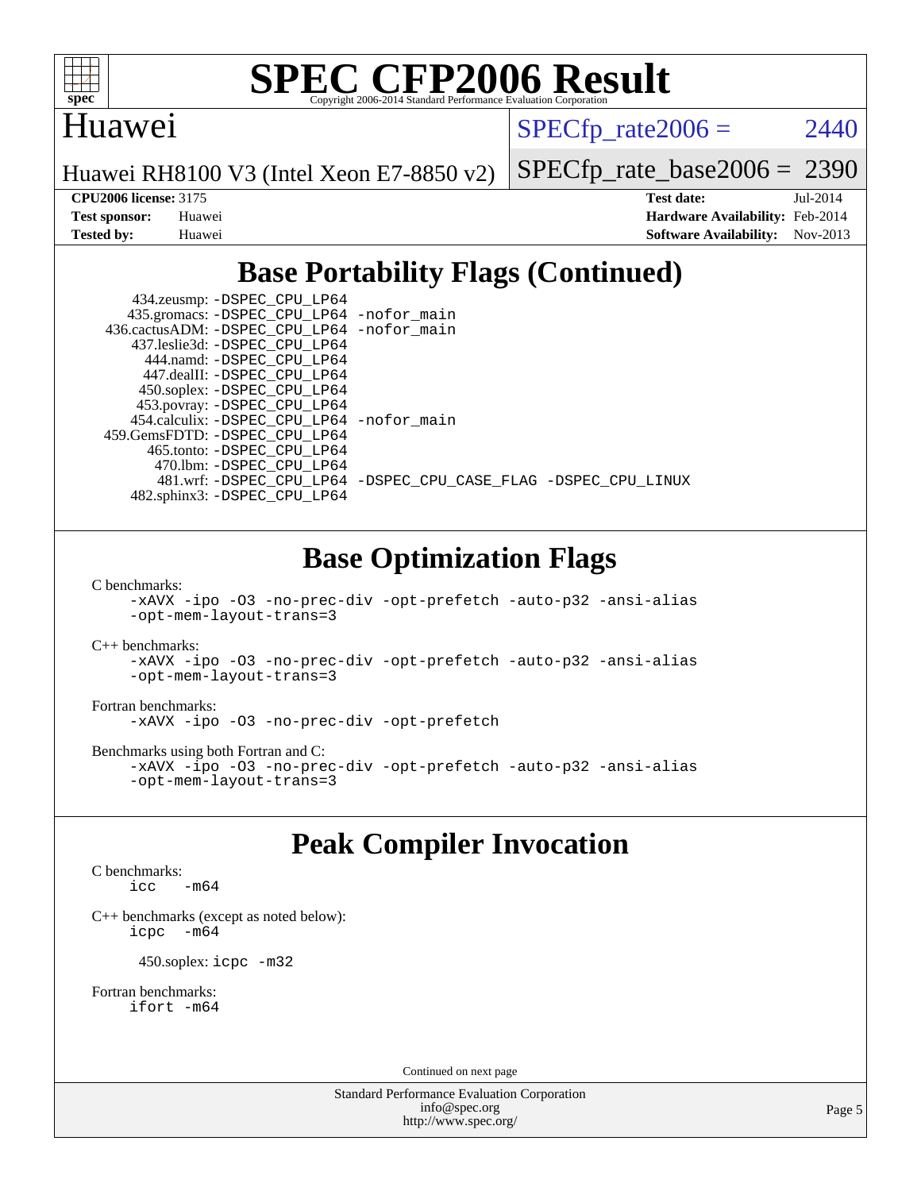

#### Huawei

 $SPECTp\_rate2006 = 2440$ 

Huawei RH8100 V3 (Intel Xeon E7-8850 v2)

[SPECfp\\_rate\\_base2006 =](http://www.spec.org/auto/cpu2006/Docs/result-fields.html#SPECfpratebase2006) 2390

**[CPU2006 license:](http://www.spec.org/auto/cpu2006/Docs/result-fields.html#CPU2006license)** 3175 **[Test date:](http://www.spec.org/auto/cpu2006/Docs/result-fields.html#Testdate)** Jul-2014 **[Test sponsor:](http://www.spec.org/auto/cpu2006/Docs/result-fields.html#Testsponsor)** Huawei **[Hardware Availability:](http://www.spec.org/auto/cpu2006/Docs/result-fields.html#HardwareAvailability)** Feb-2014 **[Tested by:](http://www.spec.org/auto/cpu2006/Docs/result-fields.html#Testedby)** Huawei **[Software Availability:](http://www.spec.org/auto/cpu2006/Docs/result-fields.html#SoftwareAvailability)** Nov-2013

## **[Base Portability Flags \(Continued\)](http://www.spec.org/auto/cpu2006/Docs/result-fields.html#BasePortabilityFlags)**

| 434.zeusmp: - DSPEC_CPU_LP64               |                                                                |
|--------------------------------------------|----------------------------------------------------------------|
| 435.gromacs: -DSPEC_CPU_LP64 -nofor_main   |                                                                |
| 436.cactusADM: -DSPEC CPU LP64 -nofor main |                                                                |
| 437.leslie3d: -DSPEC CPU LP64              |                                                                |
| 444.namd: -DSPEC CPU LP64                  |                                                                |
| 447.dealII: -DSPEC CPU LP64                |                                                                |
| 450.soplex: -DSPEC_CPU_LP64                |                                                                |
| 453.povray: -DSPEC_CPU_LP64                |                                                                |
| 454.calculix: -DSPEC CPU LP64 -nofor main  |                                                                |
| 459.GemsFDTD: -DSPEC CPU LP64              |                                                                |
| 465.tonto: -DSPEC CPU LP64                 |                                                                |
| 470.1bm: - DSPEC CPU LP64                  |                                                                |
|                                            | 481.wrf: -DSPEC_CPU_LP64 -DSPEC_CPU_CASE_FLAG -DSPEC_CPU_LINUX |
| 482.sphinx3: -DSPEC_CPU_LP64               |                                                                |

## **[Base Optimization Flags](http://www.spec.org/auto/cpu2006/Docs/result-fields.html#BaseOptimizationFlags)**

[C benchmarks](http://www.spec.org/auto/cpu2006/Docs/result-fields.html#Cbenchmarks):

[-xAVX](http://www.spec.org/cpu2006/results/res2014q3/cpu2006-20140713-30385.flags.html#user_CCbase_f-xAVX) [-ipo](http://www.spec.org/cpu2006/results/res2014q3/cpu2006-20140713-30385.flags.html#user_CCbase_f-ipo) [-O3](http://www.spec.org/cpu2006/results/res2014q3/cpu2006-20140713-30385.flags.html#user_CCbase_f-O3) [-no-prec-div](http://www.spec.org/cpu2006/results/res2014q3/cpu2006-20140713-30385.flags.html#user_CCbase_f-no-prec-div) [-opt-prefetch](http://www.spec.org/cpu2006/results/res2014q3/cpu2006-20140713-30385.flags.html#user_CCbase_f-opt-prefetch) [-auto-p32](http://www.spec.org/cpu2006/results/res2014q3/cpu2006-20140713-30385.flags.html#user_CCbase_f-auto-p32) [-ansi-alias](http://www.spec.org/cpu2006/results/res2014q3/cpu2006-20140713-30385.flags.html#user_CCbase_f-ansi-alias) [-opt-mem-layout-trans=3](http://www.spec.org/cpu2006/results/res2014q3/cpu2006-20140713-30385.flags.html#user_CCbase_f-opt-mem-layout-trans_a7b82ad4bd7abf52556d4961a2ae94d5)

[C++ benchmarks:](http://www.spec.org/auto/cpu2006/Docs/result-fields.html#CXXbenchmarks)

[-xAVX](http://www.spec.org/cpu2006/results/res2014q3/cpu2006-20140713-30385.flags.html#user_CXXbase_f-xAVX) [-ipo](http://www.spec.org/cpu2006/results/res2014q3/cpu2006-20140713-30385.flags.html#user_CXXbase_f-ipo) [-O3](http://www.spec.org/cpu2006/results/res2014q3/cpu2006-20140713-30385.flags.html#user_CXXbase_f-O3) [-no-prec-div](http://www.spec.org/cpu2006/results/res2014q3/cpu2006-20140713-30385.flags.html#user_CXXbase_f-no-prec-div) [-opt-prefetch](http://www.spec.org/cpu2006/results/res2014q3/cpu2006-20140713-30385.flags.html#user_CXXbase_f-opt-prefetch) [-auto-p32](http://www.spec.org/cpu2006/results/res2014q3/cpu2006-20140713-30385.flags.html#user_CXXbase_f-auto-p32) [-ansi-alias](http://www.spec.org/cpu2006/results/res2014q3/cpu2006-20140713-30385.flags.html#user_CXXbase_f-ansi-alias) [-opt-mem-layout-trans=3](http://www.spec.org/cpu2006/results/res2014q3/cpu2006-20140713-30385.flags.html#user_CXXbase_f-opt-mem-layout-trans_a7b82ad4bd7abf52556d4961a2ae94d5)

[Fortran benchmarks](http://www.spec.org/auto/cpu2006/Docs/result-fields.html#Fortranbenchmarks):

[-xAVX](http://www.spec.org/cpu2006/results/res2014q3/cpu2006-20140713-30385.flags.html#user_FCbase_f-xAVX) [-ipo](http://www.spec.org/cpu2006/results/res2014q3/cpu2006-20140713-30385.flags.html#user_FCbase_f-ipo) [-O3](http://www.spec.org/cpu2006/results/res2014q3/cpu2006-20140713-30385.flags.html#user_FCbase_f-O3) [-no-prec-div](http://www.spec.org/cpu2006/results/res2014q3/cpu2006-20140713-30385.flags.html#user_FCbase_f-no-prec-div) [-opt-prefetch](http://www.spec.org/cpu2006/results/res2014q3/cpu2006-20140713-30385.flags.html#user_FCbase_f-opt-prefetch)

[Benchmarks using both Fortran and C](http://www.spec.org/auto/cpu2006/Docs/result-fields.html#BenchmarksusingbothFortranandC):

[-xAVX](http://www.spec.org/cpu2006/results/res2014q3/cpu2006-20140713-30385.flags.html#user_CC_FCbase_f-xAVX) [-ipo](http://www.spec.org/cpu2006/results/res2014q3/cpu2006-20140713-30385.flags.html#user_CC_FCbase_f-ipo) [-O3](http://www.spec.org/cpu2006/results/res2014q3/cpu2006-20140713-30385.flags.html#user_CC_FCbase_f-O3) [-no-prec-div](http://www.spec.org/cpu2006/results/res2014q3/cpu2006-20140713-30385.flags.html#user_CC_FCbase_f-no-prec-div) [-opt-prefetch](http://www.spec.org/cpu2006/results/res2014q3/cpu2006-20140713-30385.flags.html#user_CC_FCbase_f-opt-prefetch) [-auto-p32](http://www.spec.org/cpu2006/results/res2014q3/cpu2006-20140713-30385.flags.html#user_CC_FCbase_f-auto-p32) [-ansi-alias](http://www.spec.org/cpu2006/results/res2014q3/cpu2006-20140713-30385.flags.html#user_CC_FCbase_f-ansi-alias) [-opt-mem-layout-trans=3](http://www.spec.org/cpu2006/results/res2014q3/cpu2006-20140713-30385.flags.html#user_CC_FCbase_f-opt-mem-layout-trans_a7b82ad4bd7abf52556d4961a2ae94d5)

## **[Peak Compiler Invocation](http://www.spec.org/auto/cpu2006/Docs/result-fields.html#PeakCompilerInvocation)**

#### [C benchmarks](http://www.spec.org/auto/cpu2006/Docs/result-fields.html#Cbenchmarks):

 $\text{icc}$  -m64

[C++ benchmarks \(except as noted below\):](http://www.spec.org/auto/cpu2006/Docs/result-fields.html#CXXbenchmarksexceptasnotedbelow) [icpc -m64](http://www.spec.org/cpu2006/results/res2014q3/cpu2006-20140713-30385.flags.html#user_CXXpeak_intel_icpc_64bit_bedb90c1146cab66620883ef4f41a67e)

450.soplex: [icpc -m32](http://www.spec.org/cpu2006/results/res2014q3/cpu2006-20140713-30385.flags.html#user_peakCXXLD450_soplex_intel_icpc_4e5a5ef1a53fd332b3c49e69c3330699)

```
Fortran benchmarks: 
     ifort -m64
```
Continued on next page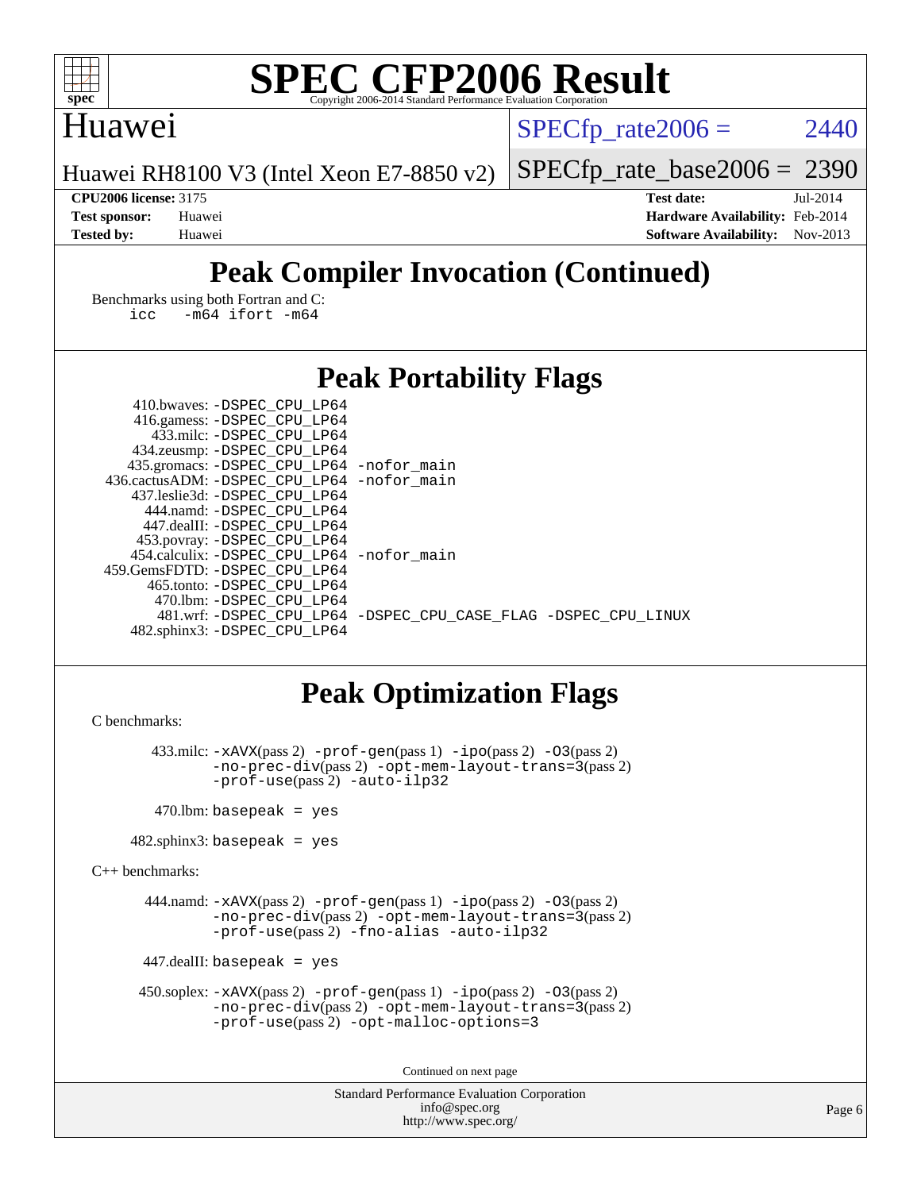

#### Huawei

 $SPECTp\_rate2006 = 2440$ 

Huawei RH8100 V3 (Intel Xeon E7-8850 v2)

[SPECfp\\_rate\\_base2006 =](http://www.spec.org/auto/cpu2006/Docs/result-fields.html#SPECfpratebase2006) 2390

**[CPU2006 license:](http://www.spec.org/auto/cpu2006/Docs/result-fields.html#CPU2006license)** 3175 **[Test date:](http://www.spec.org/auto/cpu2006/Docs/result-fields.html#Testdate)** Jul-2014 **[Test sponsor:](http://www.spec.org/auto/cpu2006/Docs/result-fields.html#Testsponsor)** Huawei **[Hardware Availability:](http://www.spec.org/auto/cpu2006/Docs/result-fields.html#HardwareAvailability)** Feb-2014 **[Tested by:](http://www.spec.org/auto/cpu2006/Docs/result-fields.html#Testedby)** Huawei **[Software Availability:](http://www.spec.org/auto/cpu2006/Docs/result-fields.html#SoftwareAvailability)** Nov-2013

# **[Peak Compiler Invocation \(Continued\)](http://www.spec.org/auto/cpu2006/Docs/result-fields.html#PeakCompilerInvocation)**

[Benchmarks using both Fortran and C](http://www.spec.org/auto/cpu2006/Docs/result-fields.html#BenchmarksusingbothFortranandC): [icc -m64](http://www.spec.org/cpu2006/results/res2014q3/cpu2006-20140713-30385.flags.html#user_CC_FCpeak_intel_icc_64bit_0b7121f5ab7cfabee23d88897260401c) [ifort -m64](http://www.spec.org/cpu2006/results/res2014q3/cpu2006-20140713-30385.flags.html#user_CC_FCpeak_intel_ifort_64bit_ee9d0fb25645d0210d97eb0527dcc06e)

### **[Peak Portability Flags](http://www.spec.org/auto/cpu2006/Docs/result-fields.html#PeakPortabilityFlags)**

| 435.gromacs: -DSPEC_CPU_LP64 -nofor_main                       |
|----------------------------------------------------------------|
| 436.cactusADM: - DSPEC CPU LP64 - nofor main                   |
|                                                                |
|                                                                |
|                                                                |
|                                                                |
| 454.calculix: -DSPEC CPU LP64 -nofor main                      |
|                                                                |
|                                                                |
|                                                                |
| 481.wrf: -DSPEC_CPU_LP64 -DSPEC_CPU_CASE_FLAG -DSPEC_CPU_LINUX |
|                                                                |
|                                                                |

### **[Peak Optimization Flags](http://www.spec.org/auto/cpu2006/Docs/result-fields.html#PeakOptimizationFlags)**

```
C benchmarks: 
        433.milc: -xAVX(pass 2) -prof-gen(pass 1) -ipo(pass 2) -O3(pass 2)
                -no-prec-div(pass 2) -opt-mem-layout-trans=3(pass 2)
                -prof-use(pass 2) -auto-ilp32
        470.lbm: basepeak = yes
     482.sphinx3: basepeak = yes
C++ benchmarks: 
        444.namd: -xAVX(pass 2) -prof-gen(pass 1) -ipo(pass 2) -O3(pass 2)
                -no-prec-div(pass 2) -opt-mem-layout-trans=3(pass 2)
                -prof-use(pass 2) -fno-alias -auto-ilp32
       447.dealII: basepeak = yes
       450.soplex: -xAVX(pass 2) -prof-gen(pass 1) -ipo(pass 2) -O3(pass 2)
                -no-prec-div(pass 2) -opt-mem-layout-trans=3(pass 2)
                -prof-use(pass 2) -opt-malloc-options=3
                                         Continued on next page
```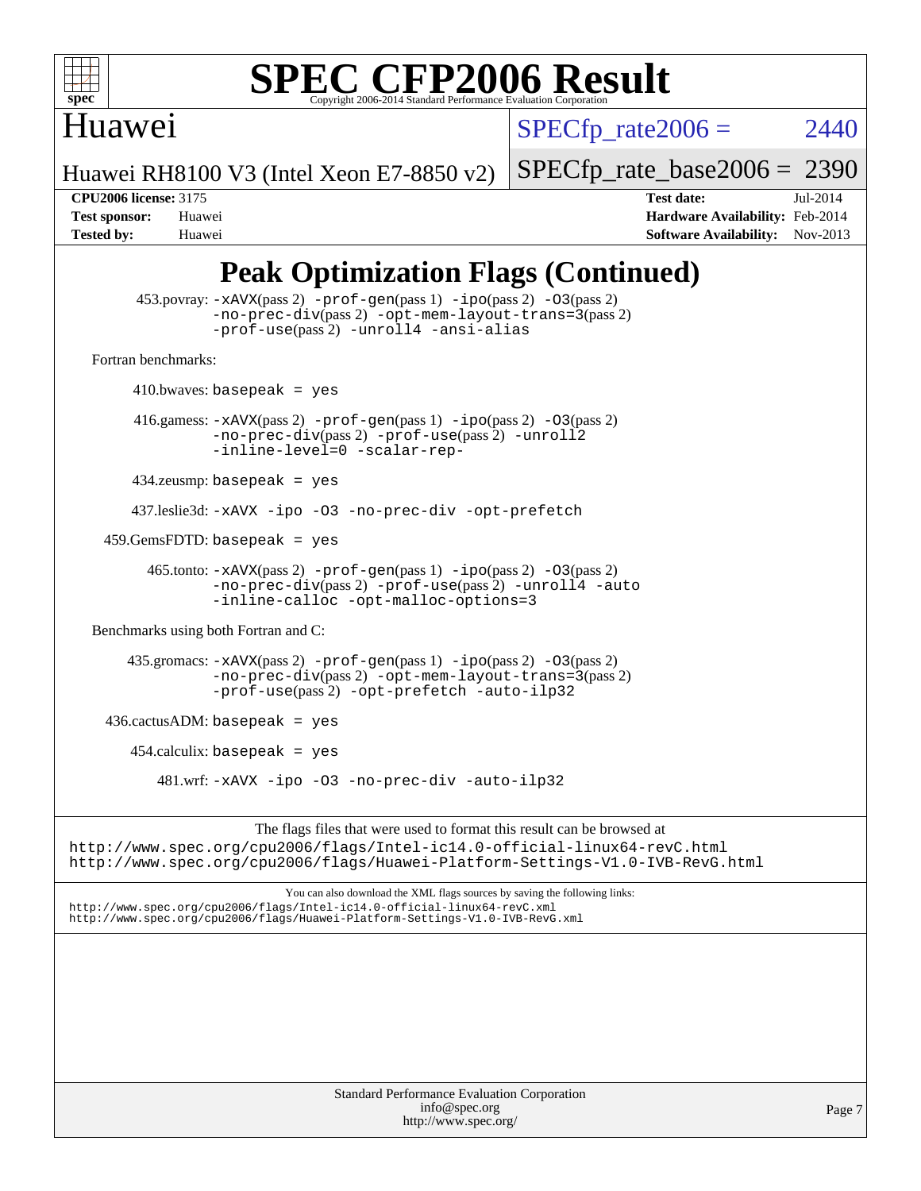

### Huawei

 $SPECfp_rate2006 = 2440$  $SPECfp_rate2006 = 2440$ 

Huawei RH8100 V3 (Intel Xeon E7-8850 v2)

[SPECfp\\_rate\\_base2006 =](http://www.spec.org/auto/cpu2006/Docs/result-fields.html#SPECfpratebase2006) 2390

**[CPU2006 license:](http://www.spec.org/auto/cpu2006/Docs/result-fields.html#CPU2006license)** 3175 **[Test date:](http://www.spec.org/auto/cpu2006/Docs/result-fields.html#Testdate)** Jul-2014 **[Test sponsor:](http://www.spec.org/auto/cpu2006/Docs/result-fields.html#Testsponsor)** Huawei **[Hardware Availability:](http://www.spec.org/auto/cpu2006/Docs/result-fields.html#HardwareAvailability)** Feb-2014 **[Tested by:](http://www.spec.org/auto/cpu2006/Docs/result-fields.html#Testedby)** Huawei **[Software Availability:](http://www.spec.org/auto/cpu2006/Docs/result-fields.html#SoftwareAvailability)** Nov-2013

# **[Peak Optimization Flags \(Continued\)](http://www.spec.org/auto/cpu2006/Docs/result-fields.html#PeakOptimizationFlags)**

| 453. povray: $-xAVX(pass 2)$ -prof-gen(pass 1) -ipo(pass 2) -03(pass 2)<br>$-no\text{-prec-div}(pass 2)$ -opt-mem-layout-trans= $3 (pass 2)$<br>-prof-use(pass 2) -unroll4 -ansi-alias                                               |  |
|--------------------------------------------------------------------------------------------------------------------------------------------------------------------------------------------------------------------------------------|--|
| Fortran benchmarks:                                                                                                                                                                                                                  |  |
| $410.bwaves: basepeak = yes$                                                                                                                                                                                                         |  |
| 416.gamess: $-x$ AVX(pass 2) $-prof-gen(pass 1) -ipo(pass 2) -O3(pass 2)$<br>-no-prec-div(pass 2) -prof-use(pass 2) -unroll2<br>-inline-level=0 -scalar-rep-                                                                         |  |
| $434$ .zeusmp: basepeak = yes                                                                                                                                                                                                        |  |
| 437.leslie3d: -xAVX -ipo -03 -no-prec-div -opt-prefetch                                                                                                                                                                              |  |
| $459.GemsFDTD: basepeak = yes$                                                                                                                                                                                                       |  |
| $465$ .tonto: $-xAVX(pass 2)$ -prof-gen(pass 1) -ipo(pass 2) -03(pass 2)<br>-no-prec-div(pass 2) -prof-use(pass 2) -unroll4 -auto<br>-inline-calloc -opt-malloc-options=3                                                            |  |
| Benchmarks using both Fortran and C:                                                                                                                                                                                                 |  |
| 435.gromacs: $-xAUX(pass 2)$ -prof-gen(pass 1) -ipo(pass 2) -03(pass 2)<br>$-no\text{-prec-div}(pass 2) - opt-mem-layer-trans=3 (pass 2)$<br>-prof-use(pass 2) -opt-prefetch -auto-ilp32                                             |  |
| $436.cactusADM:basepeak = yes$                                                                                                                                                                                                       |  |
| $454$ .calculix: basepeak = yes                                                                                                                                                                                                      |  |
| 481.wrf: -xAVX -ipo -03 -no-prec-div -auto-ilp32                                                                                                                                                                                     |  |
| The flags files that were used to format this result can be browsed at<br>http://www.spec.org/cpu2006/flags/Intel-ic14.0-official-linux64-revC.html<br>http://www.spec.org/cpu2006/flags/Huawei-Platform-Settings-V1.0-IVB-RevG.html |  |
|                                                                                                                                                                                                                                      |  |

You can also download the XML flags sources by saving the following links: <http://www.spec.org/cpu2006/flags/Intel-ic14.0-official-linux64-revC.xml> <http://www.spec.org/cpu2006/flags/Huawei-Platform-Settings-V1.0-IVB-RevG.xml>